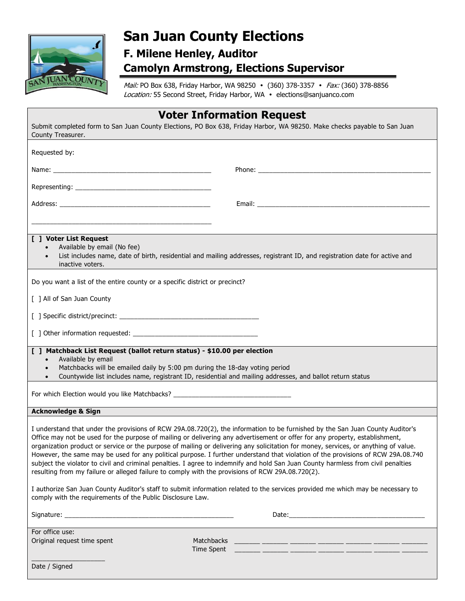

## San Juan County Elections

## F. Milene Henley, Auditor Camolyn Armstrong, Elections Supervisor

Mail: PO Box 638, Friday Harbor, WA 98250 • (360) 378-3357 • Fax: (360) 378-8856 Location: 55 Second Street, Friday Harbor, WA · elections@sanjuanco.com

|                                                                                                                                                                                                                                                                   | <b>Voter Information Request</b>                                                                                                                                                                                                                                                                                                                                                                                                                                                                                                                                                                                                                                             |
|-------------------------------------------------------------------------------------------------------------------------------------------------------------------------------------------------------------------------------------------------------------------|------------------------------------------------------------------------------------------------------------------------------------------------------------------------------------------------------------------------------------------------------------------------------------------------------------------------------------------------------------------------------------------------------------------------------------------------------------------------------------------------------------------------------------------------------------------------------------------------------------------------------------------------------------------------------|
| County Treasurer.                                                                                                                                                                                                                                                 | Submit completed form to San Juan County Elections, PO Box 638, Friday Harbor, WA 98250. Make checks payable to San Juan                                                                                                                                                                                                                                                                                                                                                                                                                                                                                                                                                     |
| Requested by:                                                                                                                                                                                                                                                     |                                                                                                                                                                                                                                                                                                                                                                                                                                                                                                                                                                                                                                                                              |
|                                                                                                                                                                                                                                                                   |                                                                                                                                                                                                                                                                                                                                                                                                                                                                                                                                                                                                                                                                              |
|                                                                                                                                                                                                                                                                   |                                                                                                                                                                                                                                                                                                                                                                                                                                                                                                                                                                                                                                                                              |
|                                                                                                                                                                                                                                                                   | Email: <u>Email: Email: Email: Email: Email: Email: Email: Email: Email: Email: Email: Email: Email: Email: Email: Email: Email: Email: Email: Email: Email: Email: Email: Email: Email: Email: Email: Email: Email: Email: Emai</u>                                                                                                                                                                                                                                                                                                                                                                                                                                         |
| [ ] Voter List Request<br>Available by email (No fee)<br>inactive voters.                                                                                                                                                                                         | List includes name, date of birth, residential and mailing addresses, registrant ID, and registration date for active and                                                                                                                                                                                                                                                                                                                                                                                                                                                                                                                                                    |
| Do you want a list of the entire county or a specific district or precinct?                                                                                                                                                                                       |                                                                                                                                                                                                                                                                                                                                                                                                                                                                                                                                                                                                                                                                              |
| [ ] All of San Juan County                                                                                                                                                                                                                                        |                                                                                                                                                                                                                                                                                                                                                                                                                                                                                                                                                                                                                                                                              |
|                                                                                                                                                                                                                                                                   |                                                                                                                                                                                                                                                                                                                                                                                                                                                                                                                                                                                                                                                                              |
|                                                                                                                                                                                                                                                                   |                                                                                                                                                                                                                                                                                                                                                                                                                                                                                                                                                                                                                                                                              |
| [ ] Matchback List Request (ballot return status) - \$10.00 per election<br>Available by email<br>Matchbacks will be emailed daily by 5:00 pm during the 18-day voting period<br>For which Election would you like Matchbacks? __________________________________ | Countywide list includes name, registrant ID, residential and mailing addresses, and ballot return status                                                                                                                                                                                                                                                                                                                                                                                                                                                                                                                                                                    |
| <b>Acknowledge &amp; Sign</b>                                                                                                                                                                                                                                     |                                                                                                                                                                                                                                                                                                                                                                                                                                                                                                                                                                                                                                                                              |
|                                                                                                                                                                                                                                                                   |                                                                                                                                                                                                                                                                                                                                                                                                                                                                                                                                                                                                                                                                              |
| resulting from my failure or alleged failure to comply with the provisions of RCW 29A.08.720(2).                                                                                                                                                                  | I understand that under the provisions of RCW 29A.08.720(2), the information to be furnished by the San Juan County Auditor's<br>Office may not be used for the purpose of mailing or delivering any advertisement or offer for any property, establishment,<br>organization product or service or the purpose of mailing or delivering any solicitation for money, services, or anything of value.<br>However, the same may be used for any political purpose. I further understand that violation of the provisions of RCW 29A.08.740<br>subject the violator to civil and criminal penalties. I agree to indemnify and hold San Juan County harmless from civil penalties |
| comply with the requirements of the Public Disclosure Law.                                                                                                                                                                                                        | I authorize San Juan County Auditor's staff to submit information related to the services provided me which may be necessary to                                                                                                                                                                                                                                                                                                                                                                                                                                                                                                                                              |
|                                                                                                                                                                                                                                                                   |                                                                                                                                                                                                                                                                                                                                                                                                                                                                                                                                                                                                                                                                              |
| For office use:                                                                                                                                                                                                                                                   | ,我们也不会有什么。""我们的人,我们也不会有什么?""我们的人,我们也不会有什么?""我们的人,我们也不会有什么?""我们的人,我们也不会有什么?""我们的人                                                                                                                                                                                                                                                                                                                                                                                                                                                                                                                                                                                             |

Original request time spent Matchbacks

 $\_$ 

Time Spent \_\_\_\_\_\_\_ \_\_\_\_\_\_\_ \_\_\_\_\_\_\_ \_\_\_\_\_\_\_ \_\_\_\_\_\_\_ \_\_\_\_\_\_\_ \_\_\_\_\_\_\_

Date / Signed